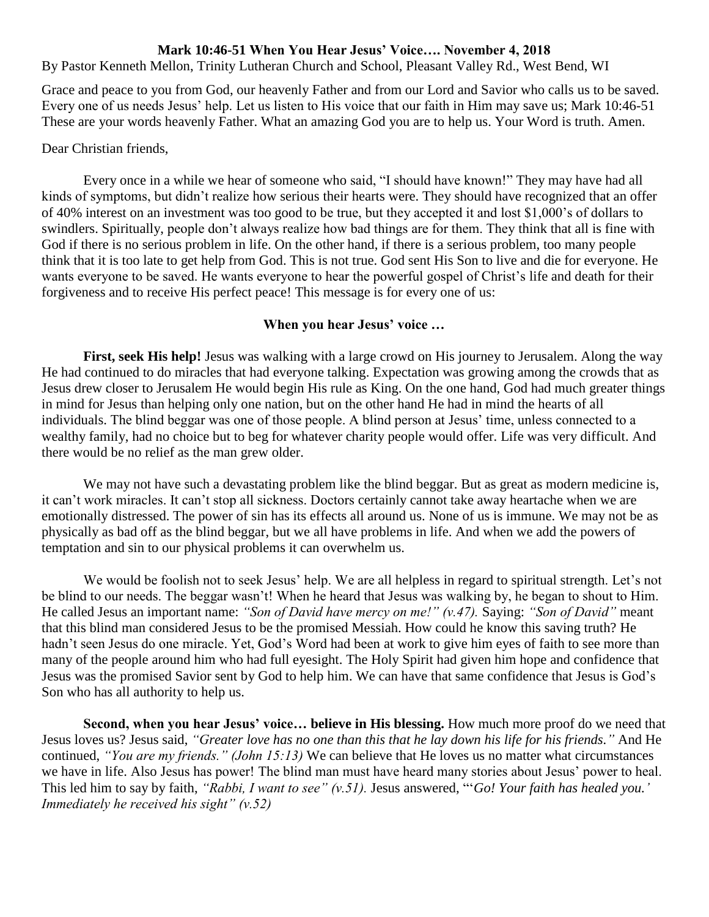## **Mark 10:46-51 When You Hear Jesus' Voice…. November 4, 2018**

By Pastor Kenneth Mellon, Trinity Lutheran Church and School, Pleasant Valley Rd., West Bend, WI

Grace and peace to you from God, our heavenly Father and from our Lord and Savior who calls us to be saved. Every one of us needs Jesus' help. Let us listen to His voice that our faith in Him may save us; Mark 10:46-51 These are your words heavenly Father. What an amazing God you are to help us. Your Word is truth. Amen.

## Dear Christian friends,

Every once in a while we hear of someone who said, "I should have known!" They may have had all kinds of symptoms, but didn't realize how serious their hearts were. They should have recognized that an offer of 40% interest on an investment was too good to be true, but they accepted it and lost \$1,000's of dollars to swindlers. Spiritually, people don't always realize how bad things are for them. They think that all is fine with God if there is no serious problem in life. On the other hand, if there is a serious problem, too many people think that it is too late to get help from God. This is not true. God sent His Son to live and die for everyone. He wants everyone to be saved. He wants everyone to hear the powerful gospel of Christ's life and death for their forgiveness and to receive His perfect peace! This message is for every one of us:

## **When you hear Jesus' voice …**

**First, seek His help!** Jesus was walking with a large crowd on His journey to Jerusalem. Along the way He had continued to do miracles that had everyone talking. Expectation was growing among the crowds that as Jesus drew closer to Jerusalem He would begin His rule as King. On the one hand, God had much greater things in mind for Jesus than helping only one nation, but on the other hand He had in mind the hearts of all individuals. The blind beggar was one of those people. A blind person at Jesus' time, unless connected to a wealthy family, had no choice but to beg for whatever charity people would offer. Life was very difficult. And there would be no relief as the man grew older.

We may not have such a devastating problem like the blind beggar. But as great as modern medicine is, it can't work miracles. It can't stop all sickness. Doctors certainly cannot take away heartache when we are emotionally distressed. The power of sin has its effects all around us. None of us is immune. We may not be as physically as bad off as the blind beggar, but we all have problems in life. And when we add the powers of temptation and sin to our physical problems it can overwhelm us.

We would be foolish not to seek Jesus' help. We are all helpless in regard to spiritual strength. Let's not be blind to our needs. The beggar wasn't! When he heard that Jesus was walking by, he began to shout to Him. He called Jesus an important name: *"Son of David have mercy on me!" (v.47).* Saying: *"Son of David"* meant that this blind man considered Jesus to be the promised Messiah. How could he know this saving truth? He hadn't seen Jesus do one miracle. Yet, God's Word had been at work to give him eyes of faith to see more than many of the people around him who had full eyesight. The Holy Spirit had given him hope and confidence that Jesus was the promised Savior sent by God to help him. We can have that same confidence that Jesus is God's Son who has all authority to help us.

**Second, when you hear Jesus' voice… believe in His blessing.** How much more proof do we need that Jesus loves us? Jesus said, *"Greater love has no one than this that he lay down his life for his friends."* And He continued, *"You are my friends." (John 15:13)* We can believe that He loves us no matter what circumstances we have in life. Also Jesus has power! The blind man must have heard many stories about Jesus' power to heal. This led him to say by faith, *"Rabbi, I want to see" (v.51).* Jesus answered, "'*Go! Your faith has healed you.' Immediately he received his sight" (v.52)*